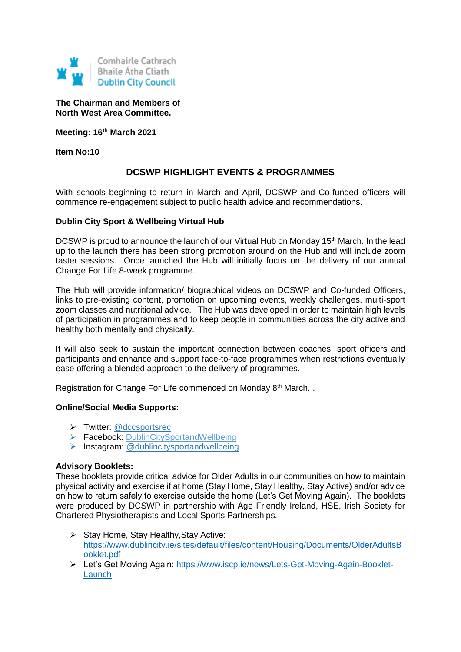

**The Chairman and Members of North West Area Committee.**

**Meeting: 16th March 2021**

**Item No:10**

# **DCSWP HIGHLIGHT EVENTS & PROGRAMMES**

With schools beginning to return in March and April, DCSWP and Co-funded officers will commence re-engagement subject to public health advice and recommendations.

### **Dublin City Sport & Wellbeing Virtual Hub**

DCSWP is proud to announce the launch of our Virtual Hub on Monday 15<sup>th</sup> March. In the lead up to the launch there has been strong promotion around on the Hub and will include zoom taster sessions. Once launched the Hub will initially focus on the delivery of our annual Change For Life 8-week programme.

The Hub will provide information/ biographical videos on DCSWP and Co-funded Officers, links to pre-existing content, promotion on upcoming events, weekly challenges, multi-sport zoom classes and nutritional advice. The Hub was developed in order to maintain high levels of participation in programmes and to keep people in communities across the city active and healthy both mentally and physically.

It will also seek to sustain the important connection between coaches, sport officers and participants and enhance and support face-to-face programmes when restrictions eventually ease offering a blended approach to the delivery of programmes.

Registration for Change For Life commenced on Monday 8<sup>th</sup> March..

#### **Online/Social Media Supports:**

- > Twitter: [@dccsportsrec](https://twitter.com/dccsportsrec)
- ▶ Facebook: [DublinCitySportandWellbeing](https://www.facebook.com/DublinCitySportandWellbeingPartnership/)
- $\triangleright$  Instagram: @dublincitysportandwellbeing

#### **Advisory Booklets:**

These booklets provide critical advice for Older Adults in our communities on how to maintain physical activity and exercise if at home (Stay Home, Stay Healthy, Stay Active) and/or advice on how to return safely to exercise outside the home (Let's Get Moving Again). The booklets were produced by DCSWP in partnership with Age Friendly Ireland, HSE, Irish Society for Chartered Physiotherapists and Local Sports Partnerships.

- $\triangleright$  Stay Home, Stay Healthy, Stay Active: [https://www.dublincity.ie/sites/default/files/content/Housing/Documents/OlderAdultsB](https://www.dublincity.ie/sites/default/files/content/Housing/Documents/OlderAdultsBooklet.pdf) [ooklet.pdf](https://www.dublincity.ie/sites/default/files/content/Housing/Documents/OlderAdultsBooklet.pdf)
- Let's Get Moving Again: [https://www.iscp.ie/news/Lets-Get-Moving-Again-Booklet-](https://www.iscp.ie/news/Lets-Get-Moving-Again-Booklet-Launch)**[Launch](https://www.iscp.ie/news/Lets-Get-Moving-Again-Booklet-Launch)**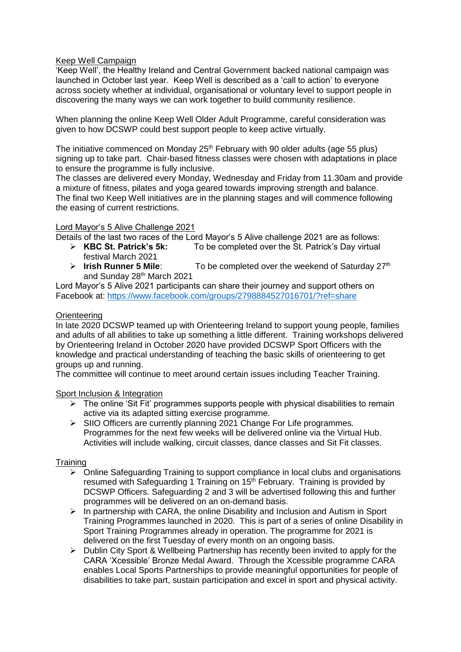# Keep Well Campaign

'Keep Well', the Healthy Ireland and Central Government backed national campaign was launched in October last year. Keep Well is described as a 'call to action' to everyone across society whether at individual, organisational or voluntary level to support people in discovering the many ways we can work together to build community resilience.

When planning the online Keep Well Older Adult Programme, careful consideration was given to how DCSWP could best support people to keep active virtually.

The initiative commenced on Monday 25<sup>th</sup> February with 90 older adults (age 55 plus) signing up to take part. Chair-based fitness classes were chosen with adaptations in place to ensure the programme is fully inclusive.

The classes are delivered every Monday, Wednesday and Friday from 11.30am and provide a mixture of fitness, pilates and yoga geared towards improving strength and balance. The final two Keep Well initiatives are in the planning stages and will commence following the easing of current restrictions.

### Lord Mayor's 5 Alive Challenge 2021

Details of the last two races of the Lord Mayor's 5 Alive challenge 2021 are as follows:

- **KBC St. Patrick's 5k:** To be completed over the St. Patrick's Day virtual festival March 2021
- **Irish Runner 5 Mile:** To be completed over the weekend of Saturday 27<sup>th</sup> and Sunday 28<sup>th</sup> March 2021

Lord Mayor's 5 Alive 2021 participants can share their journey and support others on Facebook at: <https://www.facebook.com/groups/2798884527016701/?ref=share>

# **Orienteering**

In late 2020 DCSWP teamed up with Orienteering Ireland to support young people, families and adults of all abilities to take up something a little different. Training workshops delivered by Orienteering Ireland in October 2020 have provided DCSWP Sport Officers with the knowledge and practical understanding of teaching the basic skills of orienteering to get groups up and running.

The committee will continue to meet around certain issues including Teacher Training.

Sport Inclusion & Integration

- $\triangleright$  The online 'Sit Fit' programmes supports people with physical disabilities to remain active via its adapted sitting exercise programme.
- $\triangleright$  SIIO Officers are currently planning 2021 Change For Life programmes. Programmes for the next few weeks will be delivered online via the Virtual Hub. Activities will include walking, circuit classes, dance classes and Sit Fit classes.

# **Training**

- $\triangleright$  Online Safeguarding Training to support compliance in local clubs and organisations resumed with Safeguarding 1 Training on 15<sup>th</sup> February. Training is provided by DCSWP Officers. Safeguarding 2 and 3 will be advertised following this and further programmes will be delivered on an on-demand basis.
- $\triangleright$  In partnership with CARA, the online Disability and Inclusion and Autism in Sport Training Programmes launched in 2020. This is part of a series of online Disability in Sport Training Programmes already in operation. The programme for 2021 is delivered on the first Tuesday of every month on an ongoing basis.
- $\triangleright$  Dublin City Sport & Wellbeing Partnership has recently been invited to apply for the CARA 'Xcessible' Bronze Medal Award. Through the Xcessible programme CARA enables Local Sports Partnerships to provide meaningful opportunities for people of disabilities to take part, sustain participation and excel in sport and physical activity.